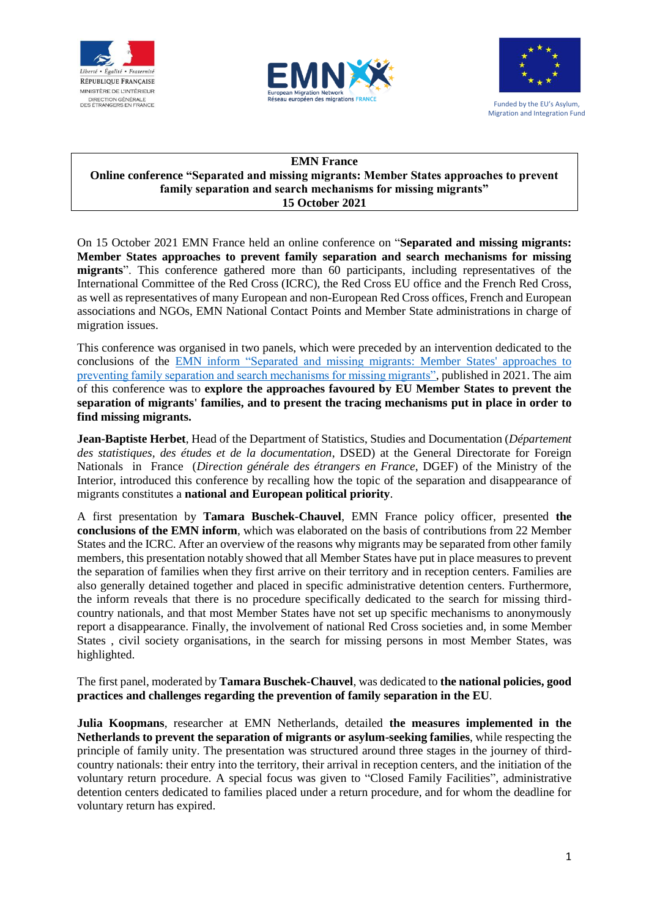





Funded by the EU's Asylum, Migration and Integration Fund

## **EMN France Online conference "Separated and missing migrants: Member States approaches to prevent family separation and search mechanisms for missing migrants" 15 October 2021**

On 15 October 2021 EMN France held an online conference on "**Separated and missing migrants: Member States approaches to prevent family separation and search mechanisms for missing migrants**". This conference gathered more than 60 participants, including representatives of the International Committee of the Red Cross (ICRC), the Red Cross EU office and the French Red Cross, as well as representatives of many European and non-European Red Cross offices, French and European associations and NGOs, EMN National Contact Points and Member State administrations in charge of migration issues.

This conference was organised in two panels, which were preceded by an intervention dedicated to the conclusions of the [EMN inform "Separated and missing migrants: Member States' approaches to](https://www.immigration.interieur.gouv.fr/Europe-et-International/Le-reseau-europeen-des-migrations-REM3/Le-reseau-europeen-des-migrations-REM2/Etudes/La-separation-et-la-disparition-de-migrants-les-approches-des-Etats-membres-pour-prevenir-la-separation-des-familles-et-les-mecanismes-de-recherche-des-migrants-portes-disparus)  [preventing family separation and search mechanisms for missing migrants",](https://www.immigration.interieur.gouv.fr/Europe-et-International/Le-reseau-europeen-des-migrations-REM3/Le-reseau-europeen-des-migrations-REM2/Etudes/La-separation-et-la-disparition-de-migrants-les-approches-des-Etats-membres-pour-prevenir-la-separation-des-familles-et-les-mecanismes-de-recherche-des-migrants-portes-disparus) published in 2021. The aim of this conference was to **explore the approaches favoured by EU Member States to prevent the separation of migrants' families, and to present the tracing mechanisms put in place in order to find missing migrants.**

**Jean-Baptiste Herbet**, Head of the Department of Statistics, Studies and Documentation (*Département des statistiques, des études et de la documentation*, DSED) at the General Directorate for Foreign Nationals in France (*Direction générale des étrangers en France*, DGEF) of the Ministry of the Interior, introduced this conference by recalling how the topic of the separation and disappearance of migrants constitutes a **national and European political priority**.

A first presentation by **Tamara Buschek-Chauvel**, EMN France policy officer, presented **the conclusions of the EMN inform**, which was elaborated on the basis of contributions from 22 Member States and the ICRC. After an overview of the reasons why migrants may be separated from other family members, this presentation notably showed that all Member States have put in place measures to prevent the separation of families when they first arrive on their territory and in reception centers. Families are also generally detained together and placed in specific administrative detention centers. Furthermore, the inform reveals that there is no procedure specifically dedicated to the search for missing thirdcountry nationals, and that most Member States have not set up specific mechanisms to anonymously report a disappearance. Finally, the involvement of national Red Cross societies and, in some Member States , civil society organisations, in the search for missing persons in most Member States, was highlighted.

The first panel, moderated by **Tamara Buschek-Chauvel**, was dedicated to **the national policies, good practices and challenges regarding the prevention of family separation in the EU**.

**Julia Koopmans**, researcher at EMN Netherlands, detailed **the measures implemented in the Netherlands to prevent the separation of migrants or asylum-seeking families**, while respecting the principle of family unity. The presentation was structured around three stages in the journey of thirdcountry nationals: their entry into the territory, their arrival in reception centers, and the initiation of the voluntary return procedure. A special focus was given to "Closed Family Facilities", administrative detention centers dedicated to families placed under a return procedure, and for whom the deadline for voluntary return has expired.